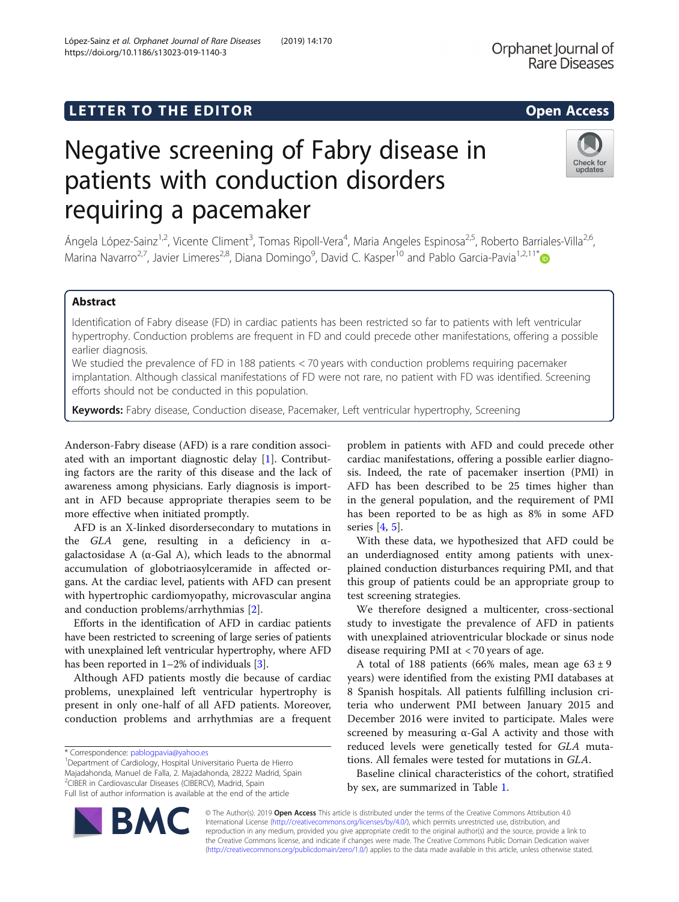# **LETTER TO THE EDITOR CONSIDERING ACCESS**

# Negative screening of Fabry disease in patients with conduction disorders requiring a pacemaker

Ángela López-Sainz<sup>1,2</sup>, Vicente Climent<sup>3</sup>, Tomas Ripoll-Vera<sup>4</sup>, Maria Angeles Espinosa<sup>2,5</sup>, Roberto Barriales-Villa<sup>2,6</sup>, Marina Navarro<sup>2,7</sup>, Javier Limeres<sup>2,8</sup>, Diana Domingo<sup>9</sup>, David C. Kasper<sup>10</sup> and Pablo Garcia-Pavia<sup>1,2,11\*</sup>

# Abstract

Identification of Fabry disease (FD) in cardiac patients has been restricted so far to patients with left ventricular hypertrophy. Conduction problems are frequent in FD and could precede other manifestations, offering a possible earlier diagnosis.

We studied the prevalence of FD in 188 patients < 70 years with conduction problems requiring pacemaker implantation. Although classical manifestations of FD were not rare, no patient with FD was identified. Screening efforts should not be conducted in this population.

Keywords: Fabry disease, Conduction disease, Pacemaker, Left ventricular hypertrophy, Screening

Anderson-Fabry disease (AFD) is a rare condition associated with an important diagnostic delay [[1\]](#page-2-0). Contributing factors are the rarity of this disease and the lack of awareness among physicians. Early diagnosis is important in AFD because appropriate therapies seem to be more effective when initiated promptly.

AFD is an X-linked disordersecondary to mutations in the GLA gene, resulting in a deficiency in  $\alpha$ galactosidase A ( $\alpha$ -Gal A), which leads to the abnormal accumulation of globotriaosylceramide in affected organs. At the cardiac level, patients with AFD can present with hypertrophic cardiomyopathy, microvascular angina and conduction problems/arrhythmias [\[2](#page-2-0)].

Efforts in the identification of AFD in cardiac patients have been restricted to screening of large series of patients with unexplained left ventricular hypertrophy, where AFD has been reported in 1–2% of individuals [[3](#page-2-0)].

Although AFD patients mostly die because of cardiac problems, unexplained left ventricular hypertrophy is present in only one-half of all AFD patients. Moreover, conduction problems and arrhythmias are a frequent

\* Correspondence: [pablogpavia@yahoo.es](mailto:pablogpavia@yahoo.es) <sup>1</sup>

Majadahonda, Manuel de Falla, 2. Majadahonda, 28222 Madrid, Spain 2 CIBER in Cardiovascular Diseases (CIBERCV), Madrid, Spain

problem in patients with AFD and could precede other

an underdiagnosed entity among patients with unexplained conduction disturbances requiring PMI, and that this group of patients could be an appropriate group to test screening strategies.

We therefore designed a multicenter, cross-sectional study to investigate the prevalence of AFD in patients with unexplained atrioventricular blockade or sinus node disease requiring PMI at < 70 years of age.

A total of 188 patients (66% males, mean age  $63 \pm 9$ years) were identified from the existing PMI databases at 8 Spanish hospitals. All patients fulfilling inclusion criteria who underwent PMI between January 2015 and December 2016 were invited to participate. Males were screened by measuring  $\alpha$ -Gal A activity and those with reduced levels were genetically tested for GLA mutations. All females were tested for mutations in GLA.

Baseline clinical characteristics of the cohort, stratified by sex, are summarized in Table [1.](#page-1-0)

© The Author(s). 2019 Open Access This article is distributed under the terms of the Creative Commons Attribution 4.0 International License [\(http://creativecommons.org/licenses/by/4.0/](http://creativecommons.org/licenses/by/4.0/)), which permits unrestricted use, distribution, and reproduction in any medium, provided you give appropriate credit to the original author(s) and the source, provide a link to the Creative Commons license, and indicate if changes were made. The Creative Commons Public Domain Dedication waiver [\(http://creativecommons.org/publicdomain/zero/1.0/](http://creativecommons.org/publicdomain/zero/1.0/)) applies to the data made available in this article, unless otherwise stated.

<sup>1</sup> Department of Cardiology, Hospital Universitario Puerta de Hierro

Full list of author information is available at the end of the article





cardiac manifestations, offering a possible earlier diagnosis. Indeed, the rate of pacemaker insertion (PMI) in AFD has been described to be 25 times higher than in the general population, and the requirement of PMI has been reported to be as high as 8% in some AFD series [\[4](#page-2-0), [5](#page-2-0)]. With these data, we hypothesized that AFD could be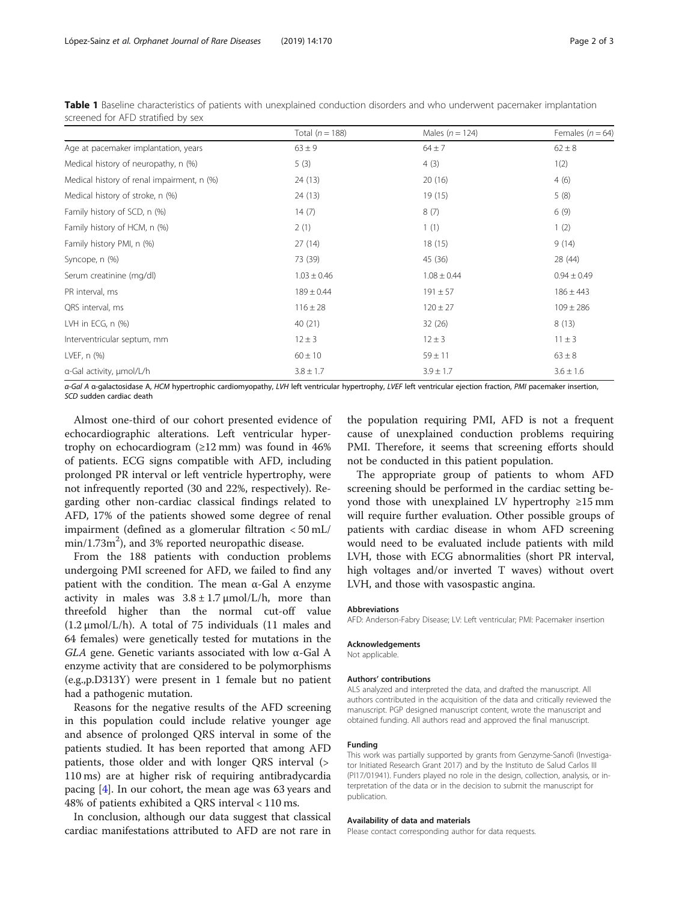|                                            | Total $(n = 188)$ | Males ( $n = 124$ ) | Females ( $n = 64$ ) |
|--------------------------------------------|-------------------|---------------------|----------------------|
| Age at pacemaker implantation, years       | $63 \pm 9$        | $64 \pm 7$          | $62 \pm 8$           |
| Medical history of neuropathy, n (%)       | 5(3)              | 4(3)                | 1(2)                 |
| Medical history of renal impairment, n (%) | 24 (13)           | 20(16)              | 4(6)                 |
| Medical history of stroke, n (%)           | 24(13)            | 19(15)              | 5(8)                 |
| Family history of SCD, n (%)               | 14(7)             | 8(7)                | 6(9)                 |
| Family history of HCM, n (%)               | 2(1)              | 1(1)                | 1(2)                 |
| Family history PMI, n (%)                  | 27(14)            | 18(15)              | 9(14)                |
| Syncope, n (%)                             | 73 (39)           | 45 (36)             | 28 (44)              |
| Serum creatinine (mg/dl)                   | $1.03 \pm 0.46$   | $1.08 \pm 0.44$     | $0.94 \pm 0.49$      |
| PR interval, ms                            | $189 \pm 0.44$    | $191 \pm 57$        | $186 \pm 443$        |
| QRS interval, ms                           | $116 \pm 28$      | $120 \pm 27$        | $109 \pm 286$        |
| LVH in ECG, $n$ $(\%)$                     | 40 (21)           | 32(26)              | 8(13)                |
| Interventricular septum, mm                | $12 \pm 3$        | $12 \pm 3$          | $11 \pm 3$           |
| LVEF, n (%)                                | $60 \pm 10$       | $59 \pm 11$         | $63 \pm 8$           |
| a-Gal activity, µmol/L/h                   | $3.8 \pm 1.7$     | $3.9 \pm 1.7$       | $3.6 \pm 1.6$        |

<span id="page-1-0"></span>Table 1 Baseline characteristics of patients with unexplained conduction disorders and who underwent pacemaker implantation screened for AFD stratified by sex

α-Gal A α-galactosidase A, HCM hypertrophic cardiomyopathy, LVH left ventricular hypertrophy, LVEF left ventricular ejection fraction, PMI pacemaker insertion, SCD sudden cardiac death

Almost one-third of our cohort presented evidence of echocardiographic alterations. Left ventricular hypertrophy on echocardiogram  $(\geq 12 \text{ mm})$  was found in 46% of patients. ECG signs compatible with AFD, including prolonged PR interval or left ventricle hypertrophy, were not infrequently reported (30 and 22%, respectively). Regarding other non-cardiac classical findings related to AFD, 17% of the patients showed some degree of renal impairment (defined as a glomerular filtration < 50 mL/  $\text{min}/1.73 \text{m}^2$ ), and 3% reported neuropathic disease.

From the 188 patients with conduction problems undergoing PMI screened for AFD, we failed to find any patient with the condition. The mean α-Gal A enzyme activity in males was  $3.8 \pm 1.7 \mu m o l/L/h$ , more than threefold higher than the normal cut-off value  $(1.2 \mu \text{mol/L/h})$ . A total of 75 individuals  $(11 \text{ males and}$ 64 females) were genetically tested for mutations in the GLA gene. Genetic variants associated with low  $\alpha$ -Gal A enzyme activity that are considered to be polymorphisms (e.g.,p.D313Y) were present in 1 female but no patient had a pathogenic mutation.

Reasons for the negative results of the AFD screening in this population could include relative younger age and absence of prolonged QRS interval in some of the patients studied. It has been reported that among AFD patients, those older and with longer QRS interval (> 110 ms) are at higher risk of requiring antibradycardia pacing [[4\]](#page-2-0). In our cohort, the mean age was 63 years and 48% of patients exhibited a QRS interval < 110 ms.

In conclusion, although our data suggest that classical cardiac manifestations attributed to AFD are not rare in

the population requiring PMI, AFD is not a frequent cause of unexplained conduction problems requiring PMI. Therefore, it seems that screening efforts should not be conducted in this patient population.

The appropriate group of patients to whom AFD screening should be performed in the cardiac setting beyond those with unexplained LV hypertrophy ≥15 mm will require further evaluation. Other possible groups of patients with cardiac disease in whom AFD screening would need to be evaluated include patients with mild LVH, those with ECG abnormalities (short PR interval, high voltages and/or inverted T waves) without overt LVH, and those with vasospastic angina.

#### Abbreviations

AFD: Anderson-Fabry Disease; LV: Left ventricular; PMI: Pacemaker insertion

#### Acknowledgements

Not applicable.

#### Authors' contributions

ALS analyzed and interpreted the data, and drafted the manuscript. All authors contributed in the acquisition of the data and critically reviewed the manuscript. PGP designed manuscript content, wrote the manuscript and obtained funding. All authors read and approved the final manuscript.

#### Funding

This work was partially supported by grants from Genzyme-Sanofi (Investigator Initiated Research Grant 2017) and by the Instituto de Salud Carlos III (PI17/01941). Funders played no role in the design, collection, analysis, or interpretation of the data or in the decision to submit the manuscript for publication.

#### Availability of data and materials

Please contact corresponding author for data requests.